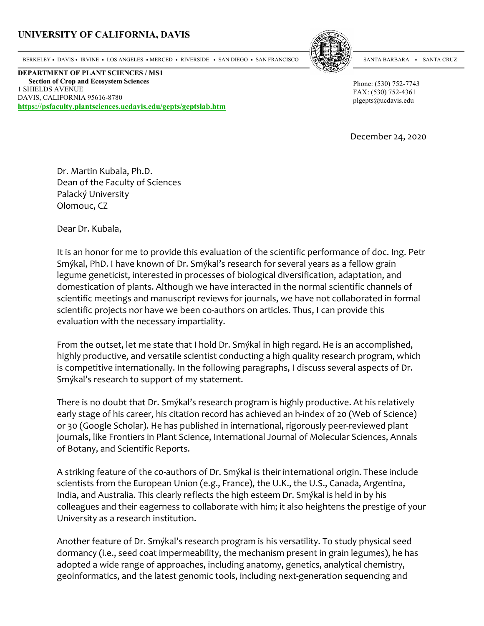## UNIVERSITY OF CALIFORNIA, DAVIS



BERKELEY • DAVIS • IRVINE • LOS ANGELES • MERCED • RIVERSIDE • SAN DIEGO • SAN FRANCISCO

DEPARTMENT OF PLANT SCIENCES / MS1 Section of Crop and Ecosystem Sciences 1 SHIELDS AVENUE DAVIS, CALIFORNIA 95616-8780 https://psfaculty.plantsciences.ucdavis.edu/gepts/geptslab.htm SANTA BARBARA . SANTA CRUZ

Phone: (530) 752-7743 FAX: (530) 752-4361 plgepts@ucdavis.edu

December 24, 2020

Dr. Martin Kubala, Ph.D. Dean of the Faculty of Sciences Palacký University Olomouc, CZ

Dear Dr. Kubala,

It is an honor for me to provide this evaluation of the scientific performance of doc. Ing. Petr Smýkal, PhD. I have known of Dr. Smýkal's research for several years as a fellow grain legume geneticist, interested in processes of biological diversification, adaptation, and domestication of plants. Although we have interacted in the normal scientific channels of scientific meetings and manuscript reviews for journals, we have not collaborated in formal scientific projects nor have we been co-authors on articles. Thus, I can provide this evaluation with the necessary impartiality.

From the outset, let me state that I hold Dr. Smýkal in high regard. He is an accomplished, highly productive, and versatile scientist conducting a high quality research program, which is competitive internationally. In the following paragraphs, I discuss several aspects of Dr. Smýkal's research to support of my statement.

There is no doubt that Dr. Smýkal's research program is highly productive. At his relatively early stage of his career, his citation record has achieved an h-index of 20 (Web of Science) or 30 (Google Scholar). He has published in international, rigorously peer-reviewed plant journals, like Frontiers in Plant Science, International Journal of Molecular Sciences, Annals of Botany, and Scientific Reports.

A striking feature of the c0-authors of Dr. Smýkal is their international origin. These include scientists from the European Union (e.g., France), the U.K., the U.S., Canada, Argentina, India, and Australia. This clearly reflects the high esteem Dr. Smýkal is held in by his colleagues and their eagerness to collaborate with him; it also heightens the prestige of your University as a research institution.

Another feature of Dr. Smýkal's research program is his versatility. To study physical seed dormancy (i.e., seed coat impermeability, the mechanism present in grain legumes), he has adopted a wide range of approaches, including anatomy, genetics, analytical chemistry, geoinformatics, and the latest genomic tools, including next-generation sequencing and